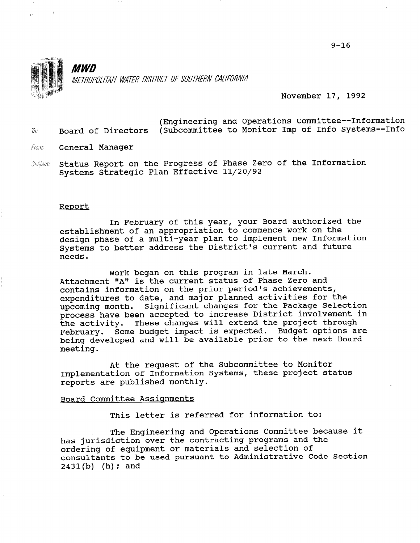

 $\mathcal{R}$ 

**MWD** METROPOLITAN WATER DISTRICT OF SOUTHERN CALIFORNIA

November 17, 1992

- (Engineering and Operations Committee--Information  $\bar{y}_k$ , Board of Directors (Subcommittee to Monitor Imp of Info Systems--Info
- France: General Manager
- Subject: Status Report on the Progress of Phase Zero of the Information Systems Strategic Plan Effective 11/20/92

#### Report

In February of this year, your Board authorized the establishment of an appropriation to commence work on the design phase of a multi-year plan to implement new Information Systems to better address the District's current and future needs.

Work began on this program in late March. Attachment "A" is the current status of Phase Zero and contains information on the prior period's achievements, expenditures to date, and major planned activities for the upcoming month. Significant changes for the Package Selection process have been accepted to increase District involvement in the activity. These changes will extend the project through February. Some budget impact is expected. Budget options are being developed and will be available prior to the next Board meeting.

At the request of the Subcommittee to Monitor Implementation of Information Systems, these project status reports are published monthly.

#### Board Committee Assignments

This letter is referred for information to:

The Engineering and Operations Committee because it has jurisdiction over the contracting programs and the ordering of equipment or materials and selection of consultants to be used pursuant to Administrative Code Section  $2431(b)$  (h); and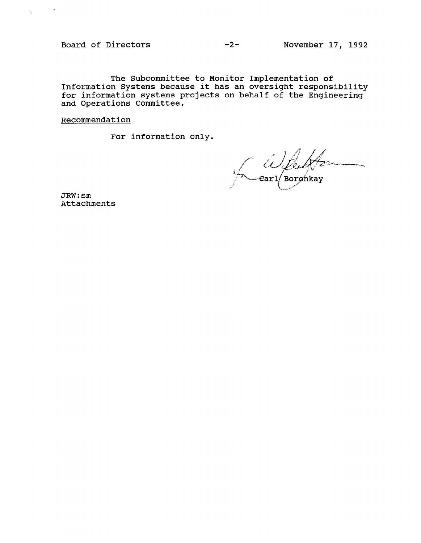Board of Directors -2- November 17, 1992

 $\eta_{\rm{max}}=0.5$ 

The Subcommittee to Monitor Implementation of Information Systems because it has an oversight responsib for information systems projects on behalf of the Engineer: and Operations Committee.

Recommendation

For information only.

*Wilkels* ,."

JRW:sm Attachments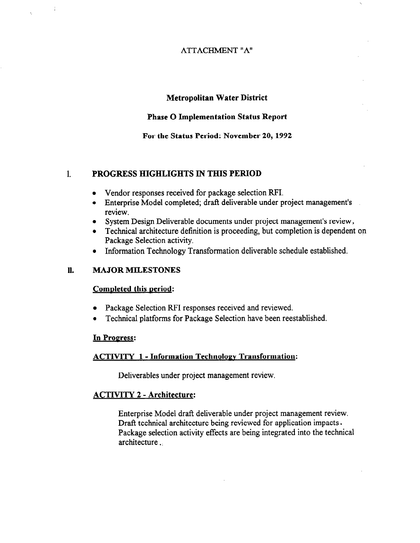#### ATTACHMENT "A"

#### Metropolitan Water District

#### Phase 0 Implementation Status Report

For the Status Period: November 20,1992

#### 1. PROGRESS HIGHLIGHTS IN THIS PERIOD

- Vendor responses received for package selection RFI.
- Enterprise Model completed; draft deliverable under project management's review.
- System Design Deliverable documents under project management's review,
- Technical architecture definition is proceeding, but completion is dependent on Package Selection activity.
- Information Technology Transformation deliverable schedule established.

#### 11. MAJOR MILESTONES

 $\frac{1}{2}$ 

 $\tau_{\rm c}$ 

#### Completed this period:

- Package Selection RFI responses received and reviewed.
- Technical platforms for Package Selection have been reestablished.

#### In Progress:

#### ACTIVITY 1 - Information Technoloev Transformation:

Deliverables under project management review.

#### ACTIVITY 2 - Architecture:

Enterprise Model draft deliverable under project management review. Draft technical architecture being reviewed for application impacts. Package selection activity effects are being integrated into the technical architecture.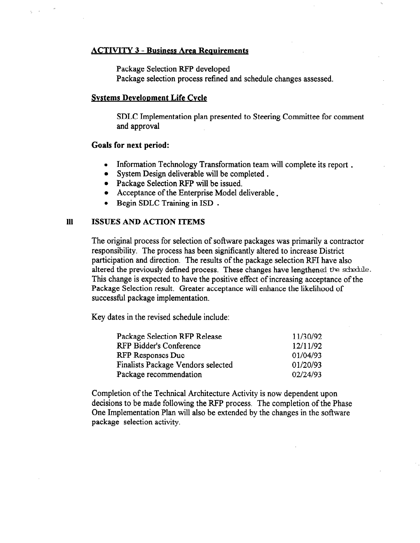#### **ACTIVITY 3 - Business Area Requirements**

Package Selection RFP developed

Package selection process refined and schedule changes assessed.

#### Svstems Develonment Life Cvcle

SDLC Implementation plan presented to Steering Committee for comment and approval

#### Goals for next period:

- Information Technology Transformation team will complete its report.
- System Design deliverable will be completed.
- Package Selection RFP will be issued.
- Acceptance of the Enterprise Model deliverable.
- Begin SDLC Training in ISD.

#### 111 ISSUES AND ACTION ITEMS

The original process for selection of software packages was primarily a contractor responsibility. The process has been significantly altered to increase District participation and direction. The results of the package selection RF1 have also altered the previously defined process. These changes have lengthened the schedule. This change is expected to have the positive effect of increasing acceptance of the Package Selection result. Greater acceptance will enhance the likelihood of successful package implementation.

Key dates in the revised schedule include:

| Package Selection RFP Release      | 11/30/92 |
|------------------------------------|----------|
| <b>RFP Bidder's Conference</b>     | 12/11/92 |
| <b>RFP Responses Due</b>           | 01/04/93 |
| Finalists Package Vendors selected | 01/20/93 |
| Package recommendation             | 02/24/93 |

Completion of the Technical Architecture Activity is now dependent upon decisions to be made following the RFP process. The completion of the Phase One Implementation Plan will also be extended by the changes in the software package selection activity.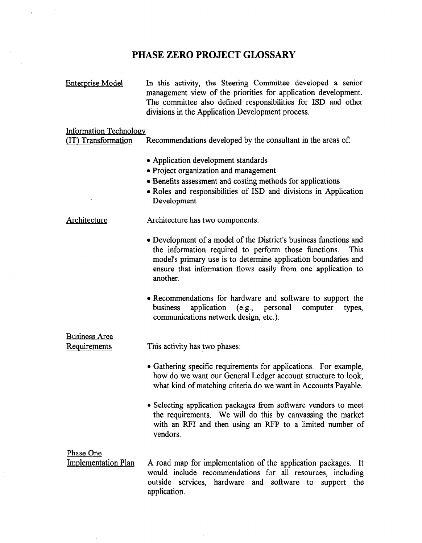### PHASE ZERO PROJECT GLOSSARY

Enterprise Model In this activity, the Steering Committee developed a senior management view of the priorities for application development. The committee also defined responsibilities for ISD and other divisions in the Application Development process.

#### Information Technologv

{IT) Transformation Recommendations developed by the consultant in the areas of

- Application development standards
- Project organization and management
- $\bullet$  Benefits assessment and costing methods for applications
- Roles and responsibilities of ISD and divisions in Application Development

Architecture Architecture has two components:

- Development of a model of the District's business functions and the information required to perform those functions. This model's primary use is to determine application boundaries and  $\frac{1}{2}$  information flows that is to determine application to underly and  $\frac{1}{4}$
- <sup>l</sup>Recommendations for hardware and software to support the Recommendations for naruware and software to support the business application (e.g., personal communications network design, etc.).
- Business Area <u>Dusiness Are</u> This activity has two phases:
	- Gathering specific requirements for applications. For example, how do we want our General Ledger account structure to look, what kind of matching criteria do we want in Accounts Payable.
	- Selecting application packages from software vendors to meet the requirements. We will do this by canvassing the market with an RFI and then using an RFP to a limited number of vendors.

| Phase One                  |                                                               |
|----------------------------|---------------------------------------------------------------|
| <b>Implementation Plan</b> | A road map for implementation of the application packages. It |
|                            | would include recommendations for all resources, including    |
|                            | outside services, hardware and software to support the        |
|                            | application.                                                  |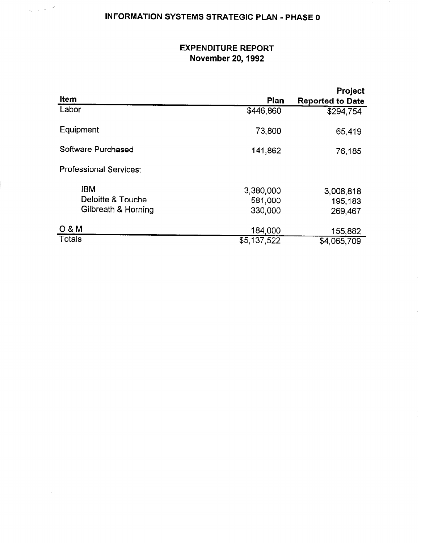# INFORMATION SYSTEMS STRATEGIC PLAN - PHASE 0

 $\frac{1}{\sigma_1} \left( \frac{1}{\sigma_1} \right) \frac{1}{\sigma_2} \left( \frac{1}{\sigma_1} \right) = \frac{\sigma^2}{\sigma^2}$ 

## EXPENDITURE REPORT November 20,1992

|                               |                          | <b>Project</b>          |
|-------------------------------|--------------------------|-------------------------|
| Item                          | Plan                     | <b>Reported to Date</b> |
| Labor                         | \$446,860                | \$294,754               |
| Equipment                     | 73,800                   | 65,419                  |
| Software Purchased            | 141,862                  | 76,185                  |
| <b>Professional Services:</b> |                          |                         |
| <b>IBM</b>                    | 3,380,000                | 3,008,818               |
| Deloitte & Touche             | 581,000                  | 195,183                 |
| Gilbreath & Horning           | 330,000                  | 269,467                 |
| 0 & M                         | 184,000                  | 155,882                 |
| <b>Totals</b>                 | $\overline{\$5,137,522}$ | \$4,065,709             |